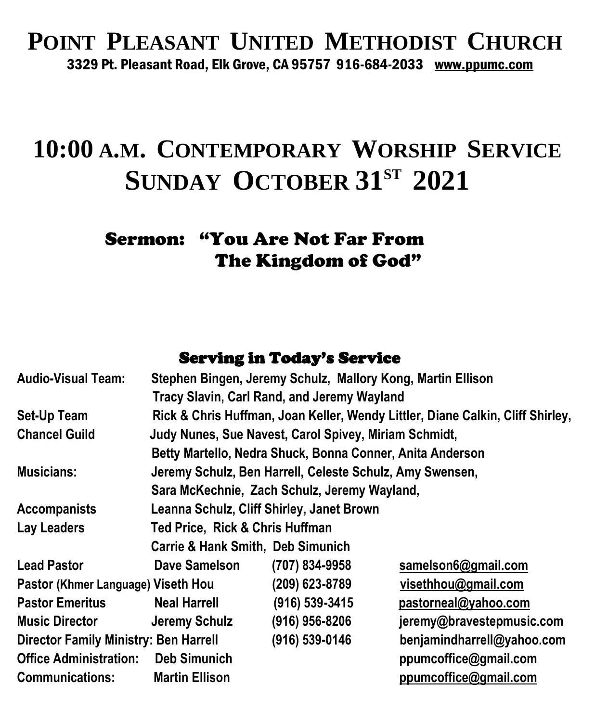#### **POINT PLEASANT UNITED METHODIST CHURCH** 3329 Pt. Pleasant Road, Elk Grove, CA 95757 916-684-2033 [www.ppumc.com](http://www.ppumc.com/)

## **10:00 A.M. CONTEMPORARY WORSHIP SERVICE SUNDAY OCTOBER 31ST 2021**

#### Sermon: "You Are Not Far From The Kingdom of God"

#### Serving in Today's Service

| <b>Audio-Visual Team:</b>                    |                                                                                | Stephen Bingen, Jeremy Schulz, Mallory Kong, Martin Ellison |                            |
|----------------------------------------------|--------------------------------------------------------------------------------|-------------------------------------------------------------|----------------------------|
|                                              |                                                                                | <b>Tracy Slavin, Carl Rand, and Jeremy Wayland</b>          |                            |
| Set-Up Team                                  | Rick & Chris Huffman, Joan Keller, Wendy Littler, Diane Calkin, Cliff Shirley, |                                                             |                            |
| <b>Chancel Guild</b>                         | Judy Nunes, Sue Navest, Carol Spivey, Miriam Schmidt,                          |                                                             |                            |
|                                              |                                                                                | Betty Martello, Nedra Shuck, Bonna Conner, Anita Anderson   |                            |
| <b>Musicians:</b>                            | Jeremy Schulz, Ben Harrell, Celeste Schulz, Amy Swensen,                       |                                                             |                            |
|                                              | Sara McKechnie, Zach Schulz, Jeremy Wayland,                                   |                                                             |                            |
| <b>Accompanists</b>                          | Leanna Schulz, Cliff Shirley, Janet Brown                                      |                                                             |                            |
| Lay Leaders                                  | Ted Price, Rick & Chris Huffman                                                |                                                             |                            |
|                                              | <b>Carrie &amp; Hank Smith, Deb Simunich</b>                                   |                                                             |                            |
| <b>Lead Pastor</b>                           | <b>Dave Samelson</b>                                                           | (707) 834-9958                                              | samelson6@gmail.com        |
| Pastor (Khmer Language) Viseth Hou           |                                                                                | (209) 623-8789                                              | visethhou@gmail.com        |
| <b>Pastor Emeritus</b>                       | <b>Neal Harrell</b>                                                            | (916) 539-3415                                              | pastorneal@yahoo.com       |
| <b>Music Director</b>                        | Jeremy Schulz                                                                  | $(916)$ 956-8206                                            | jeremy@bravestepmusic.com  |
| <b>Director Family Ministry: Ben Harrell</b> |                                                                                | (916) 539-0146                                              | benjamindharrell@yahoo.com |
| <b>Office Administration:</b>                | <b>Deb Simunich</b>                                                            |                                                             | ppumcoffice@gmail.com      |
| <b>Communications:</b>                       | <b>Martin Ellison</b>                                                          |                                                             | ppumcoffice@gmail.com      |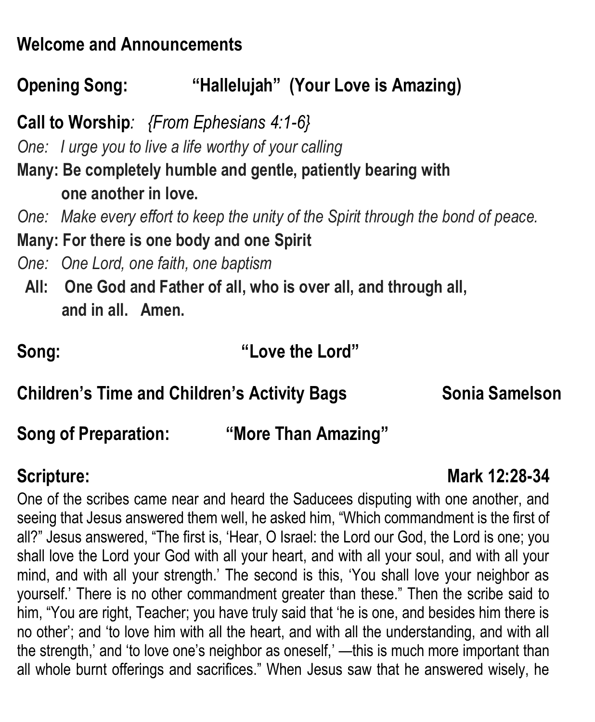### **Welcome and Announcements**

## **Opening Song: "Hallelujah" (Your Love is Amazing)**

**Call to Worship***: {From Ephesians 4:1-6}*

*One: I urge you to live a life worthy of your calling*

**Many: Be completely humble and gentle, patiently bearing with one another in love.**

*One: Make every effort to keep the unity of the Spirit through the bond of peace.*

**Many: For there is one body and one Spirit**

*One: One Lord, one faith, one baptism*

**All: One God and Father of all, who is over all, and through all, and in all. Amen.**

| Song: | "Love the Lord" |
|-------|-----------------|
|       |                 |

**Children's Time and Children's Activity Bags Sonia Samelson**

**Song of Preparation: "More Than Amazing"** 

**Scripture:** Mark 12:28-34

One of the scribes came near and heard the Saducees disputing with one another, and seeing that Jesus answered them well, he asked him, "Which commandment is the first of all?" Jesus answered, "The first is, 'Hear, O Israel: the Lord our God, the Lord is one; you shall love the Lord your God with all your heart, and with all your soul, and with all your mind, and with all your strength.' The second is this, 'You shall love your neighbor as yourself.' There is no other commandment greater than these." Then the scribe said to him, "You are right, Teacher; you have truly said that 'he is one, and besides him there is no other'; and 'to love him with all the heart, and with all the understanding, and with all the strength,' and 'to love one's neighbor as oneself,' —this is much more important than all whole burnt offerings and sacrifices." When Jesus saw that he answered wisely, he